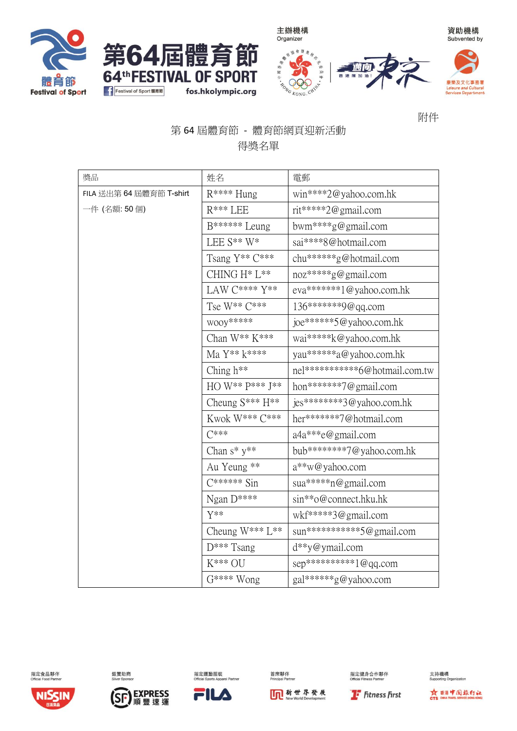









資助機構

附件

## 第64屆體育節 - 體育節網頁迎新活動 得獎名單

| 獎品                       | 姓名                     | 電郵                                |
|--------------------------|------------------------|-----------------------------------|
| FILA 送出第 64 屆體育節 T-shirt | $R***$ Hung            | win****2@yahoo.com.hk             |
| 一件 (名額: 50個)             | $R***$ LEE             | rit*****2@gmail.com               |
|                          | B****** Leung          | bwm****g@gmail.com                |
|                          | LEE $S^{**}$ W*        | sai****8@hotmail.com              |
|                          | Tsang Y** C***         | chu******g@hotmail.com            |
|                          | CHING H* L**           | noz*****g@gmail.com               |
|                          | LAW C**** Y**          | eva*******1@yahoo.com.hk          |
|                          | Tse W** C***           | 136*******9@qq.com                |
|                          | WOOY*****              | joe******5@yahoo.com.hk           |
|                          | Chan W** K***          | wai*****k@yahoo.com.hk            |
|                          | Ma Y** k****           | yau******a@yahoo.com.hk           |
|                          | Ching h <sup>**</sup>  | nel***********6@hotmail.com.tw    |
|                          | HO W** P*** J**        | hon*******7@gmail.com             |
|                          | Cheung $S***H**$       | jes********3@yahoo.com.hk         |
|                          | Kwok W*** C***         | her*******7@hotmail.com           |
|                          | $C***$                 | a4a***e@gmail.com                 |
|                          | Chan $s^* y^{**}$      | bub********7@yahoo.com.hk         |
|                          | Au Yeung **            | a**w@yahoo.com                    |
|                          | $C^{*****}$ Sin        | sua*****n@gmail.com               |
|                          | Ngan $D***$            | $\sin$ ** $\circ$ @connect.hku.hk |
|                          | $Y^{**}$               | wkf*****3@gmail.com               |
|                          | Cheung $W^{***}L^{**}$ | sun***********5@gmail.com         |
|                          | $D***$ Tsang           | d**y@ymail.com                    |
|                          | $K^{***}$ OU           | $sep**********1@qq.com$           |
|                          | G**** Wong             | gal******g@yahoo.com              |



指定食品夥伴



銀替助商



指定運動服裝



**In 新世界發展** 

**T** Fitness First